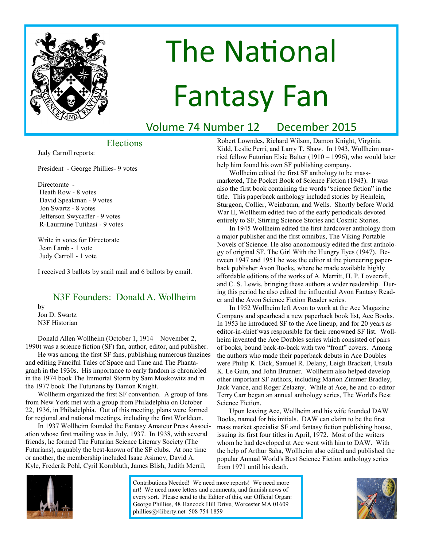

# The National Fantasy Fan

## Volume 74 Number 12 December 2015

### Elections

Judy Carroll reports:

President - George Phillies- 9 votes

Directorate - Heath Row - 8 votes David Speakman - 9 votes Jon Swartz - 8 votes Jefferson Swycaffer - 9 votes R-Laurraine Tutihasi - 9 votes

Write in votes for Directorate Jean Lamb - 1 vote Judy Carroll - 1 vote

I received 3 ballots by snail mail and 6 ballots by email.

### N3F Founders: Donald A. Wollheim

by Jon D. Swartz N3F Historian

Donald Allen Wollheim (October 1, 1914 – November 2, 1990) was a science fiction (SF) fan, author, editor, and publisher.

He was among the first SF fans, publishing numerous fanzines and editing Fanciful Tales of Space and Time and The Phantagraph in the 1930s. His importance to early fandom is chronicled in the 1974 book The Immortal Storm by Sam Moskowitz and in the 1977 book The Futurians by Damon Knight.

Wollheim organized the first SF convention. A group of fans from New York met with a group from Philadelphia on October 22, 1936, in Philadelphia. Out of this meeting, plans were formed for regional and national meetings, including the first Worldcon.

In 1937 Wollheim founded the Fantasy Amateur Press Association whose first mailing was in July, 1937. In 1938, with several friends, he formed The Futurian Science Literary Society (The Futurians), arguably the best-known of the SF clubs. At one time or another, the membership included Isaac Asimov, David A. Kyle, Frederik Pohl, Cyril Kornbluth, James Blish, Judith Merril,

Robert Lowndes, Richard Wilson, Damon Knight, Virginia Kidd, Leslie Perri, and Larry T. Shaw. In 1943, Wollheim married fellow Futurian Elsie Balter (1910 – 1996), who would later help him found his own SF publishing company.

Wollheim edited the first SF anthology to be massmarketed, The Pocket Book of Science Fiction (1943). It was also the first book containing the words "science fiction" in the title. This paperback anthology included stories by Heinlein, Sturgeon, Collier, Weinbaum, and Wells. Shortly before World War II, Wollheim edited two of the early periodicals devoted entirely to SF, Stirring Science Stories and Cosmic Stories.

In 1945 Wollheim edited the first hardcover anthology from a major publisher and the first omnibus, The Viking Portable Novels of Science. He also anonomously edited the first anthology of original SF, The Girl With the Hungry Eyes (1947). Between 1947 and 1951 he was the editor at the pioneering paperback publisher Avon Books, where he made available highly affordable editions of the works of A. Merritt, H. P. Lovecraft, and C. S. Lewis, bringing these authors a wider readership. During this period he also edited the influential Avon Fantasy Reader and the Avon Science Fiction Reader series.

In 1952 Wollheim left Avon to work at the Ace Magazine Company and spearhead a new paperback book list, Ace Books. In 1953 he introduced SF to the Ace lineup, and for 20 years as editor-in-chief was responsible for their renowned SF list. Wollheim invented the Ace Doubles series which consisted of pairs of books, bound back-to-back with two "front" covers. Among the authors who made their paperback debuts in Ace Doubles were Philip K. Dick, Samuel R. Delany, Leigh Brackett, Ursula K. Le Guin, and John Brunner. Wollheim also helped develop other important SF authors, including Marion Zimmer Bradley, Jack Vance, and Roger Zelazny. While at Ace, he and co-editor Terry Carr began an annual anthology series, The World's Best Science Fiction.

Upon leaving Ace, Wollheim and his wife founded DAW Books, named for his initials. DAW can claim to be the first mass market specialist SF and fantasy fiction publishing house, issuing its first four titles in April, 1972. Most of the writers whom he had developed at Ace went with him to DAW. With the help of Arthur Saha, Wollheim also edited and published the popular Annual World's Best Science Fiction anthology series from 1971 until his death.



Contributions Needed! We need more reports! We need more art! We need more letters and comments, and fannish news of every sort. Please send to the Editor of this, our Official Organ: George Phillies, 48 Hancock Hill Drive, Worcester MA 01609 phillies@4liberty.net 508 754 1859

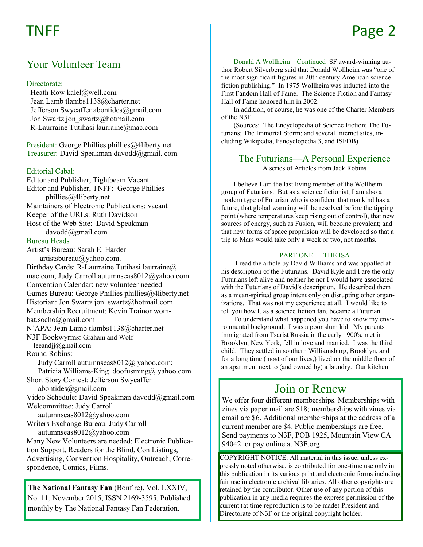# TNFF

# Page 2

### Your Volunteer Team

### Directorate:

 Heath Row kalel@well.com Jean Lamb tlambs1138@charter.net Jefferson Swycaffer abontides@gmail.com Jon Swartz jon\_swartz@hotmail.com R-Laurraine Tutihasi laurraine@mac.com

President: George Phillies phillies@4liberty.net Treasurer: David Speakman davodd@gmail. com

### Editorial Cabal:

Editor and Publisher, Tightbeam Vacant Editor and Publisher, TNFF: George Phillies phillies@4liberty.net Maintainers of Electronic Publications: vacant Keeper of the URLs: Ruth Davidson Host of the Web Site: David Speakman davodd@gmail.com Bureau Heads Artist's Bureau: Sarah E. Harder artistsbureau@yahoo.com. Birthday Cards: R-Laurraine Tutihasi laurraine@ mac.com; Judy Carroll autumnseas8012@yahoo.com Convention Calendar: new volunteer needed Games Bureau: George Phillies phillies@4liberty.net Historian: Jon Swartz jon\_swartz@hotmail.com Membership Recruitment: Kevin Trainor wombat.socho@gmail.com N'APA: Jean Lamb tlambs1138@charter.net N3F Bookwyrms: Graham and Wolf leeandjj@gmail.com Round Robins: Judy Carroll autumnseas8012@ yahoo.com; Patricia Williams-King doofusming@ yahoo.com

Short Story Contest: Jefferson Swycaffer abontides@gmail.com

Video Schedule: David Speakman davodd@gmail.com Welcommittee: Judy Carroll

autumnseas8012@yahoo.com

Writers Exchange Bureau: Judy Carroll autumnseas8012@yahoo.com

Many New Volunteers are needed: Electronic Publication Support, Readers for the Blind, Con Listings, Advertising, Convention Hospitality, Outreach, Correspondence, Comics, Films.

**The National Fantasy Fan** (Bonfire), Vol. LXXIV, No. 11, November 2015, ISSN 2169-3595. Published monthly by The National Fantasy Fan Federation.

Donald A Wollheim—Continued SF award-winning author Robert Silverberg said that Donald Wollheim was "one of the most significant figures in 20th century American science fiction publishing." In 1975 Wollheim was inducted into the First Fandom Hall of Fame. The Science Fiction and Fantasy Hall of Fame honored him in 2002.

In addition, of course, he was one of the Charter Members of the N3F.

(Sources: The Encyclopedia of Science Fiction; The Futurians; The Immortal Storm; and several Internet sites, including Wikipedia, Fancyclopedia 3, and ISFDB)

### The Futurians—A Personal Experience

A series of Articles from Jack Robins

I believe I am the last living member of the Wollheim group of Futurians. But as a science fictionist, I am also a modern type of Futurian who is confident that mankind has a future, that global warming will be resolved before the tipping point (where temperatures keep rising out of control), that new sources of energy, such as Fusion, will become prevalent; and that new forms of space propulsion will be developed so that a trip to Mars would take only a week or two, not months.

### PART ONE --- THE ISA

I read the article by David Williams and was appalled at his description of the Futurians. David Kyle and I are the only Futurians left alive and neither he nor I would have associated with the Futurians of David's description. He described them as a mean-spirited group intent only on disrupting other organizations. That was not my experience at all. I would like to tell you how I, as a science fiction fan, became a Futurian.

To understand what happened you have to know my environmental background. I was a poor slum kid. My parents immigrated from Tsarist Russia in the early 1900's, met in Brooklyn, New York, fell in love and married. I was the third child. They settled in southern Williamsburg, Brooklyn, and for a long time (most of our lives,) lived on the middle floor of an apartment next to (and owned by) a laundry. Our kitchen

### Join or Renew

We offer four different memberships. Memberships with zines via paper mail are \$18; memberships with zines via email are \$6. Additional memberships at the address of a current member are \$4. Public memberships are free. Send payments to N3F, POB 1925, Mountain View CA 94042. or pay online at N3F.org

COPYRIGHT NOTICE: All material in this issue, unless expressly noted otherwise, is contributed for one-time use only in this publication in its various print and electronic forms including fair use in electronic archival libraries. All other copyrights are retained by the contributor. Other use of any portion of this publication in any media requires the express permission of the current (at time reproduction is to be made) President and Directorate of N3F or the original copyright holder.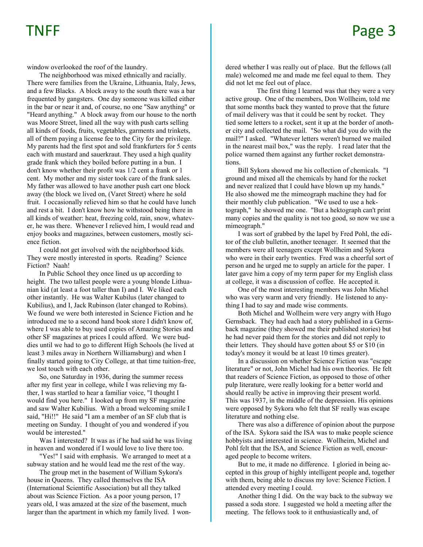window overlooked the roof of the laundry.

The neighborhood was mixed ethnically and racially. There were families from the Ukraine, Lithuania, Italy, Jews, and a few Blacks. A block away to the south there was a bar frequented by gangsters. One day someone was killed either in the bar or near it and, of course, no one "Saw anything" or "Heard anything." A block away from our house to the north was Moore Street, lined all the way with push carts selling all kinds of foods, fruits, vegetables, garments and trinkets, all of them paying a license fee to the City for the privilege. My parents had the first spot and sold frankfurters for 5 cents each with mustard and sauerkraut. They used a high quality grade frank which they boiled before putting in a bun. I don't know whether their profit was 1/2 cent a frank or 1 cent. My mother and my sister took care of the frank sales. My father was allowed to have another push cart one block away (the block we lived on, (Varet Street) where he sold fruit. I occasionally relieved him so that he could have lunch and rest a bit. I don't know how he withstood being there in all kinds of weather: heat, freezing cold, rain, snow, whatever, he was there. Whenever I relieved him, I would read and enjoy books and magazines, between customers, mostly science fiction.

I could not get involved with the neighborhood kids. They were mostly interested in sports. Reading? Science Fiction? Naah!

In Public School they once lined us up according to height. The two tallest people were a young blonde Lithuanian kid (at least a foot taller than I) and I. We liked each other instantly. He was Walter Kubilus (later changed to Kubilius), and I, Jack Rubinson (later changed to Robins). We found we were both interested in Science Fiction and he introduced me to a second hand book store I didn't know of, where I was able to buy used copies of Amazing Stories and other SF magazines at prices I could afford. We were buddies until we had to go to different High Schools (he lived at least 3 miles away in Northern Williamsburg) and when I finally started going to City College, at that time tuition-free, we lost touch with each other.

So, one Saturday in 1936, during the summer recess after my first year in college, while I was relieving my father, I was startled to hear a familiar voice, "I thought I would find you here." I looked up from my SF magazine and saw Walter Kubilius. With a broad welcoming smile I said, "Hi!!" He said "I am a member of an SF club that is meeting on Sunday. I thought of you and wondered if you would be interested."

Was I interested? It was as if he had said he was living in heaven and wondered if I would love to live there too.

"Yes!" I said with emphasis. We arranged to meet at a subway station and he would lead me the rest of the way.

The group met in the basement of William Sykora's house in Queens. They called themselves the ISA (International Scientific Association) but all they talked about was Science Fiction. As a poor young person, 17 years old, I was amazed at the size of the basement, much larger than the apartment in which my family lived. I wondered whether I was really out of place. But the fellows (all male) welcomed me and made me feel equal to them. They did not let me feel out of place.

 The first thing I learned was that they were a very active group. One of the members, Don Wollheim, told me that some months back they wanted to prove that the future of mail delivery was that it could be sent by rocket. They tied some letters to a rocket, sent it up at the border of another city and collected the mail. "So what did you do with the mail?" I asked. "Whatever letters weren't burned we mailed in the nearest mail box," was the reply. I read later that the police warned them against any further rocket demonstrations.

Bill Sykora showed me his collection of chemicals. "I ground and mixed all the chemicals by hand for the rocket and never realized that I could have blown up my hands." He also showed me the mimeograph machine they had for their monthly club publication. "We used to use a hektograph," he showed me one. "But a hektograph can't print many copies and the quality is not too good, so now we use a mimeograph."

I was sort of grabbed by the lapel by Fred Pohl, the editor of the club bulletin, another teenager. It seemed that the members were all teenagers except Wollheim and Sykora who were in their early twenties. Fred was a cheerful sort of person and he urged me to supply an article for the paper. I later gave him a copy of my term paper for my English class at college, it was a discussion of coffee. He accepted it.

One of the most interesting members was John Michel who was very warm and very friendly. He listened to anything I had to say and made wise comments.

Both Michel and Wollheim were very angry with Hugo Gernsback. They had each had a story published in a Gernsback magazine (they showed me their published stories) but he had never paid them for the stories and did not reply to their letters. They should have gotten about \$5 or \$10 (in today's money it would be at least 10 times greater).

In a discussion on whether Science Fiction was "escape literature" or not, John Michel had his own theories. He felt that readers of Science Fiction, as opposed to those of other pulp literature, were really looking for a better world and should really be active in improving their present world. This was 1937, in the middle of the depression. His opinions were opposed by Sykora who felt that SF really was escape literature and nothing else.

There was also a difference of opinion about the purpose of the ISA. Sykora said the ISA was to make people science hobbyists and interested in science. Wollheim, Michel and Pohl felt that the ISA, and Science Fiction as well, encouraged people to become writers.

But to me, it made no difference. I gloried in being accepted in this group of highly intelligent people and, together with them, being able to discuss my love: Science Fiction. I attended every meeting I could.

Another thing I did. On the way back to the subway we passed a soda store. I suggested we hold a meeting after the meeting. The fellows took to it enthusiastically and, of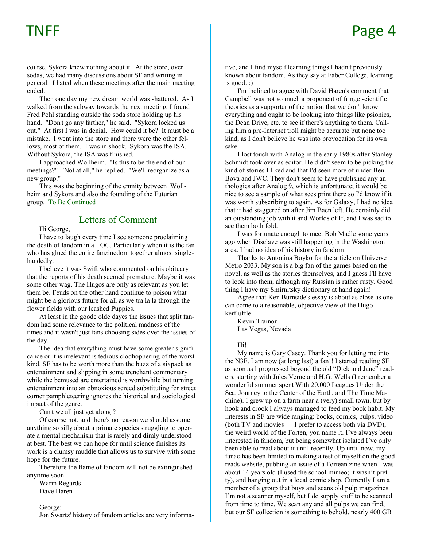course, Sykora knew nothing about it. At the store, over sodas, we had many discussions about SF and writing in general. I hated when these meetings after the main meeting ended.

Then one day my new dream world was shattered. As I walked from the subway towards the next meeting, I found Fred Pohl standing outside the soda store holding up his hand. "Don't go any farther," he said. "Sykora locked us out." At first I was in denial. How could it be? It must be a mistake. I went into the store and there were the other fellows, most of them. I was in shock. Sykora was the ISA. Without Sykora, the ISA was finished.

I approached Wollheim. "Is this to be the end of our meetings?" "Not at all," he replied. "We'll reorganize as a new group."

This was the beginning of the enmity between Wollheim and Sykora and also the founding of the Futurian group. To Be Continued

### Letters of Comment

Hi George,

I have to laugh every time I see someone proclaiming the death of fandom in a LOC. Particularly when it is the fan who has glued the entire fanzinedom together almost singlehandedly.

I believe it was Swift who commented on his obituary that the reports of his death seemed premature. Maybe it was some other wag. The Hugos are only as relevant as you let them be. Feuds on the other hand continue to poison what might be a glorious future for all as we tra la la through the flower fields with our leashed Puppies.

At least in the goode olde dayes the issues that split fandom had some relevance to the political madness of the times and it wasn't just fans choosing sides over the issues of the day.

The idea that everything must have some greater significance or it is irrelevant is tedious clodhoppering of the worst kind. SF has to be worth more than the buzz of a sixpack as entertainment and slipping in some trenchant commentary while the bemused are entertained is worthwhile but turning entertainment into an obnoxious screed substituting for street corner pamphleteering ignores the historical and sociological impact of the genre.

Can't we all just get along ?

Of course not, and there's no reason we should assume anything so silly about a primate species struggling to operate a mental mechanism that is rarely and dimly understood at best. The best we can hope for until science finishes its work is a clumsy muddle that allows us to survive with some hope for the future.

Therefore the flame of fandom will not be extinguished anytime soon.

Warm Regards Dave Haren

George:

Jon Swartz' history of fandom articles are very informa-

tive, and I find myself learning things I hadn't previously known about fandom. As they say at Faber College, learning is good. :)

I'm inclined to agree with David Haren's comment that Campbell was not so much a proponent of fringe scientific theories as a supporter of the notion that we don't know everything and ought to be looking into things like psionics, the Dean Drive, etc. to see if there's anything to them. Calling him a pre-Internet troll might be accurate but none too kind, as I don't believe he was into provocation for its own sake.

I lost touch with Analog in the early 1980s after Stanley Schmidt took over as editor. He didn't seem to be picking the kind of stories I liked and that I'd seen more of under Ben Bova and JWC. They don't seem to have published any anthologies after Analog 9, which is unfortunate; it would be nice to see a sample of what sees print there so I'd know if it was worth subscribing to again. As for Galaxy, I had no idea that it had staggered on after Jim Baen left. He certainly did an outstanding job with it and Worlds of If, and I was sad to see them both fold.

I was fortunate enough to meet Bob Madle some years ago when Disclave was still happening in the Washington area. I had no idea of his history in fandom!

Thanks to Antonina Boyko for the article on Universe Metro 2033. My son is a big fan of the games based on the novel, as well as the stories themselves, and I guess I'll have to look into them, although my Russian is rather rusty. Good thing I have my Smirnitsky dictionary at hand again!

Agree that Ken Burnside's essay is about as close as one can come to a reasonable, objective view of the Hugo kerfluffle.

Kevin Trainor Las Vegas, Nevada

Hi!

My name is Gary Casey. Thank you for letting me into the N3F. I am now (at long last) a fan!! I started reading SF as soon as I progressed beyond the old "Dick and Jane" readers, starting with Jules Verne and H.G. Wells (I remember a wonderful summer spent With 20,000 Leagues Under the Sea, Journey to the Center of the Earth, and The Time Machine). I grew up on a farm near a (very) small town, but by hook and crook I always managed to feed my book habit. My interests in SF are wide ranging: books, comics, pulps, video (both TV and movies — I prefer to access both via DVD), the weird world of the Forten, you name it. I've always been interested in fandom, but being somewhat isolated I've only been able to read about it until recently. Up until now, myfanac has been limited to making a test of myself on the good reads website, pubbing an issue of a Fortean zine when I was about 14 years old (I used the school mimeo; it wasn't pretty), and hanging out in a local comic shop. Currently I am a member of a group that buys and scans old pulp magazines. I'm not a scanner myself, but I do supply stuff to be scanned from time to time. We scan any and all pulps we can find, but our SF collection is something to behold, nearly 400 GB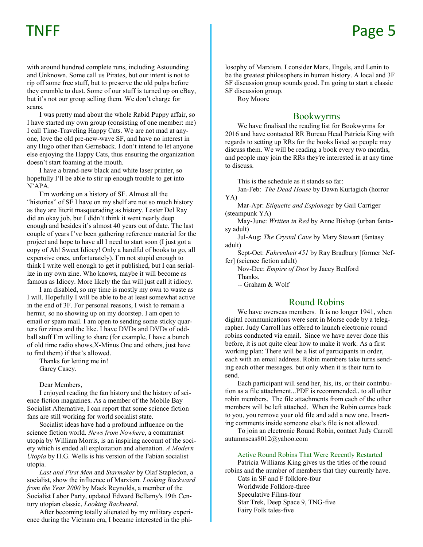with around hundred complete runs, including Astounding and Unknown. Some call us Pirates, but our intent is not to rip off some free stuff, but to preserve the old pulps before they crumble to dust. Some of our stuff is turned up on eBay, but it's not our group selling them. We don't charge for scans.

I was pretty mad about the whole Rabid Puppy affair, so I have started my own group (consisting of one member: me) I call Time-Traveling Happy Cats. We are not mad at anyone, love the old pre-new-wave SF, and have no interest in any Hugo other than Gernsback. I don't intend to let anyone else enjoying the Happy Cats, thus ensuring the organization doesn't start foaming at the mouth.

I have a brand-new black and white laser printer, so hopefully I'll be able to stir up enough trouble to get into N'APA.

I'm working on a history of SF. Almost all the "histories" of SF I have on my shelf are not so much history as they are litcrit masquerading as history. Lester Del Ray did an okay job, but I didn't think it went nearly deep enough and besides it's almost 40 years out of date. The last couple of years I've been gathering reference material for the project and hope to have all I need to start soon (I just got a copy of Ah! Sweet Idiocy! Only a handful of books to go, all expensive ones, unfortunately). I'm not stupid enough to think I write well enough to get it published, but I can serialize in my own zine. Who knows, maybe it will become as famous as Idiocy. More likely the fan will just call it idiocy.

I am disabled, so my time is mostly my own to waste as I will. Hopefully I will be able to be at least somewhat active in the end of 3F. For personal reasons, I wish to remain a hermit, so no showing up on my doorstep. I am open to email or spam mail. I am open to sending some sticky quarters for zines and the like. I have DVDs and DVDs of oddball stuff I'm willing to share (for example, I have a bunch of old time radio shows,X-Minus One and others, just have to find them) if that's allowed.

Thanks for letting me in! Garey Casey.

Dear Members,

I enjoyed reading the fan history and the history of science fiction magazines. As a member of the Mobile Bay Socialist Alternative, I can report that some science fiction fans are still working for world socialist state.

Socialist ideas have had a profound influence on the science fiction world. *News from Nowhere*, a communist utopia by William Morris, is an inspiring account of the society which is ended all exploitation and alienation. *A Modern Utopia* by H.G. Wells is his version of the Fabian socialist utopia.

*Last and First Men* and *Starmaker* by Olaf Stapledon, a socialist, show the influence of Marxism. *Looking Backward from the Year 2000* by Mack Reynolds, a member of the Socialist Labor Party, updated Edward Bellamy's 19th Century utopian classic, *Looking Backward*.

After becoming totally alienated by my military experience during the Vietnam era, I became interested in the philosophy of Marxism. I consider Marx, Engels, and Lenin to be the greatest philosophers in human history. A local and 3F SF discussion group sounds good. I'm going to start a classic SF discussion group.

Roy Moore

### Bookwyrms

We have finalised the reading list for Bookwyrms for 2016 and have contacted RR Bureau Head Patricia King with regards to setting up RRs for the books listed so people may discuss them. We will be reading a book every two months, and people may join the RRs they're interested in at any time to discuss.

This is the schedule as it stands so far:

Jan-Feb: *The Dead House* by Dawn Kurtagich (horror YA)

Mar-Apr: *Etiquette and Espionage* by Gail Carriger (steampunk YA)

May-June: *Written in Red* by Anne Bishop (urban fantasy adult)

Jul-Aug: *The Crystal Cave* by Mary Stewart (fantasy adult)

Sept-Oct: *Fahrenheit 451* by Ray Bradbury [former Neffer] (science fiction adult)

Nov-Dec: *Empire of Dust* by Jacey Bedford Thanks.

-- Graham & Wolf

### Round Robins

We have overseas members. It is no longer 1941, when digital communications were sent in Morse code by a telegrapher. Judy Carroll has offered to launch electronic round robins conducted via email. Since we have never done this before, it is not quite clear how to make it work. As a first working plan: There will be a list of participants in order, each with an email address. Robin members take turns sending each other messages. but only when it is their turn to send.

Each participant will send her, his, its, or their contribution as a file attachment...PDF is recommended.. to all other robin members. The file attachments from each of the other members will be left attached. When the Robin comes back to you, you remove your old file and add a new one. Inserting comments inside someone else's file is not allowed.

To join an electronic Round Robin, contact Judy Carroll autumnseas8012@yahoo.com

### Active Round Robins That Were Recently Restarted

Patricia Williams King gives us the titles of the round robins and the number of members that they currently have.

Cats in SF and F folklore-four Worldwide Folklore-three Speculative Films-four Star Trek, Deep Space 9, TNG-five Fairy Folk tales-five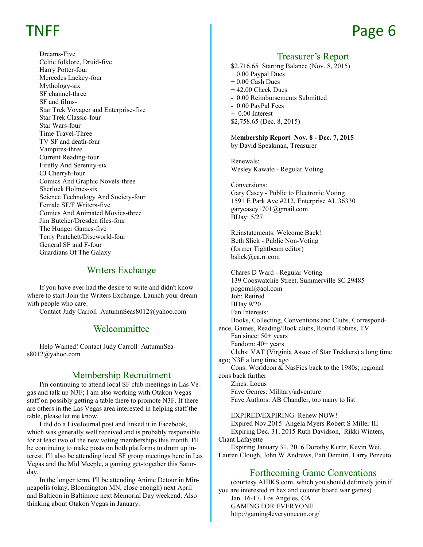Dreams-Five Celtic folklore, Druid-five Harry Potter-four Mercedes Lackey-four Mythology-six SF channel-three SF and films-Star Trek Voyager and Enterprise-five Star Trek Classic-four Star Wars-four Time Travel-Three TV SF and death-four Vampires-three Current Reading-four Firefly And Serenity-six CJ Cherryh-four Comics And Graphic Novels-three Sherlock Holmes-six Science Technology And Society-four Female SF/F Writers-five Comics And Animated Movies-three Jim Butcher/Dresden files-four The Hunger Games-five Terry Pratchett/Discworld-four General SF and F-four Guardians Of The Galaxy

### Writers Exchange

If you have ever had the desire to write and didn't know where to start-Join the Writers Exchange. Launch your dream with people who care.

Contact Judy Carroll AutumnSeas8012@yahoo.com

### **Welcommittee**

Help Wanted! Contact Judy Carroll AutumnSeas8012@yahoo.com

### Membership Recruitment

I'm continuing to attend local SF club meetings in Las Vegas and talk up N3F; I am also working with Otakon Vegas staff on possibly getting a table there to promote N3F. If there are others in the Las Vegas area interested in helping staff the table, please let me know.

I did do a LiveJournal post and linked it in Facebook, which was generally well received and is probably responsible for at least two of the new voting memberships this month. I'll be continuing to make posts on both platforms to drum up interest; I'll also be attending local SF group meetings here in Las Vegas and the Mid Meeple, a gaming get-together this Saturday.

In the longer term, I'll be attending Anime Detour in Minneapolis (okay, Bloomington MN, close enough) next April and Balticon in Baltimore next Memorial Day weekend. Also thinking about Otakon Vegas in January.

### Treasurer's Report

\$2,716.65 Starting Balance (Nov. 8, 2015) + 0.00 Paypal Dues + 0.00 Cash Dues + 42.00 Check Dues - 0.00 Reimbursements Submitted - 0.00 PayPal Fees + 0.00 Interest \$2,758.65 (Dec. 8, 2015)

M**embership Report Nov. 8 - Dec. 7, 2015** by David Speakman, Treasurer

Renewals: Wesley Kawato - Regular Voting

Conversions: Gary Casey - Public to Electronic Voting 1591 E Park Ave #212, Enterprise AL 36330 garycasey1701@gmail.com BDay: 5/27

Reinstatements: Welcome Back! Beth Slick - Public Non-Voting (former Tightbeam editor) bslick@ca.rr.com

Chares D Ward - Regular Voting 139 Cooswatchie Street, Summerville SC 29485 pogomil@aol.com Job: Retired BDay 9/20 Fan Interests: Books, Collecting, Conventions and Clubs, Correspondence, Games, Reading/Book clubs, Round Robins, TV Fan since: 50+ years Fandom: 40+ years Clubs: VAT (Virginia Assoc of Star Trekkers) a long time ago; N3F a long time ago Cons: Worldcon & NasFics back to the 1980s; regional cons back further Zines: Locus Fave Genres: Military/adventure Fave Authors: AB Chandler, too many to list

EXPIRED/EXPIRING: Renew NOW! Expired Nov.2015 Angela Myers Robert S Miller III Expiring Dec. 31, 2015 Ruth Davidson, Rikki Winters, Chant Lafayette

Expiring January 31, 2016 Dorothy Kurtz, Kevin Wei, Lauren Clough, John W Andrews, Patt Demitri, Larry Pezzuto

### Forthcoming Game Conventions

(courtesy AHIKS.com, which you should definitely join if you are interested in hex and counter board war games) Jan. 16-17, Los Angeles, CA GAMING FOR EVERYONE http://gaming4everyonecon.org/

# TNFF and the state of the page of the page of the page of the page of the page of the page of the page of the p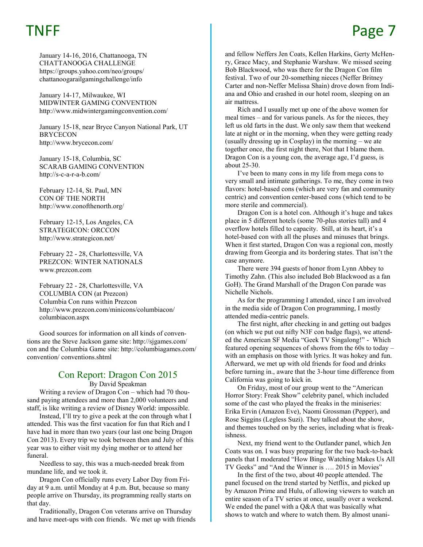# TNFF and the set of the set of the page 7

January 14-16, 2016, Chattanooga, TN CHATTANOOGA CHALLENGE https://groups.yahoo.com/neo/groups/ chattanoogarailgamingchallenge/info

January 14-17, Milwaukee, WI MIDWINTER GAMING CONVENTION http://www.midwintergamingconvention.com/

January 15-18, near Bryce Canyon National Park, UT **BRYCECON** http://www.brycecon.com/

January 15-18, Columbia, SC SCARAB GAMING CONVENTION http://s-c-a-r-a-b.com/

February 12-14, St. Paul, MN CON OF THE NORTH http://www.conofthenorth.org/

February 12-15, Los Angeles, CA STRATEGICON: ORCCON http://www.strategicon.net/

February 22 - 28, Charlottesville, VA PREZCON: WINTER NATIONALS www.prezcon.com

February 22 - 28, Charlottesville, VA COLUMBIA CON (at Prezcon) Columbia Con runs within Prezcon http://www.prezcon.com/minicons/columbiacon/ columbiacon.aspx

Good sources for information on all kinds of conventions are the Steve Jackson game site: http://sjgames.com/ con and the Columbia Game site: http://columbiagames.com/ convention/ conventions.shtml

### Con Report: Dragon Con 2015

By David Speakman

Writing a review of Dragon Con – which had 70 thousand paying attendees and more than 2,000 volunteers and staff, is like writing a review of Disney World: impossible.

Instead, I'll try to give a peek at the con through what I attended. This was the first vacation for fun that Rich and I have had in more than two years (our last one being Dragon Con 2013). Every trip we took between then and July of this year was to either visit my dying mother or to attend her funeral.

Needless to say, this was a much-needed break from mundane life, and we took it.

Dragon Con officially runs every Labor Day from Friday at 9 a.m. until Monday at 4 p.m. But, because so many people arrive on Thursday, its programming really starts on that day.

Traditionally, Dragon Con veterans arrive on Thursday and have meet-ups with con friends. We met up with friends and fellow Neffers Jen Coats, Kellen Harkins, Gerty McHenry, Grace Macy, and Stephanie Warshaw. We missed seeing Bob Blackwood, who was there for the Dragon Con film festival. Two of our 20-something nieces (Neffer Britney Carter and non-Neffer Melissa Shain) drove down from Indiana and Ohio and crashed in our hotel room, sleeping on an air mattress.

Rich and I usually met up one of the above women for meal times – and for various panels. As for the nieces, they left us old farts in the dust. We only saw them that weekend late at night or in the morning, when they were getting ready (usually dressing up in Cosplay) in the morning – we ate together once, the first night there, Not that I blame them. Dragon Con is a young con, the average age, I'd guess, is about 25-30.

I've been to many cons in my life from mega cons to very small and intimate gatherings. To me, they come in two flavors: hotel-based cons (which are very fan and community centric) and convention center-based cons (which tend to be more sterile and commercial).

Dragon Con is a hotel con. Although it's huge and takes place in 5 different hotels (some 70-plus stories tall) and 4 overflow hotels filled to capacity. Still, at its heart, it's a hotel-based con with all the pluses and minuses that brings. When it first started, Dragon Con was a regional con, mostly drawing from Georgia and its bordering states. That isn't the case anymore.

There were 394 guests of honor from Lynn Abbey to Timothy Zahn. (This also included Bob Blackwood as a fan GoH). The Grand Marshall of the Dragon Con parade was Nichelle Nichols.

As for the programming I attended, since I am involved in the media side of Dragon Con programming, I mostly attended media-centric panels.

The first night, after checking in and getting out badges (on which we put out nifty N3F con badge flags), we attended the American SF Media "Geek TV Singalong!" - Which featured opening sequences of shows from the 60s to today – with an emphasis on those with lyrics. It was hokey and fun. Afterward, we met up with old friends for food and drinks before turning in., aware that the 3-hour time difference from California was going to kick in.

On Friday, most of our group went to the "American Horror Story: Freak Show" celebrity panel, which included some of the cast who played the freaks in the miniseries: Erika Ervin (Amazon Eve), Naomi Grossman (Pepper), and Rose Siggins (Legless Suzi). They talked about the show, and themes touched on by the series, including what is freakishness.

Next, my friend went to the Outlander panel, which Jen Coats was on. I was busy preparing for the two back-to-back panels that I moderated "How Binge Watching Makes Us All TV Geeks" and "And the Winner is …. 2015 in Movies"

In the first of the two, about 40 people attended. The panel focused on the trend started by Netflix, and picked up by Amazon Prime and Hulu, of allowing viewers to watch an entire season of a TV series at once, usually over a weekend. We ended the panel with a O&A that was basically what shows to watch and where to watch them. By almost unani-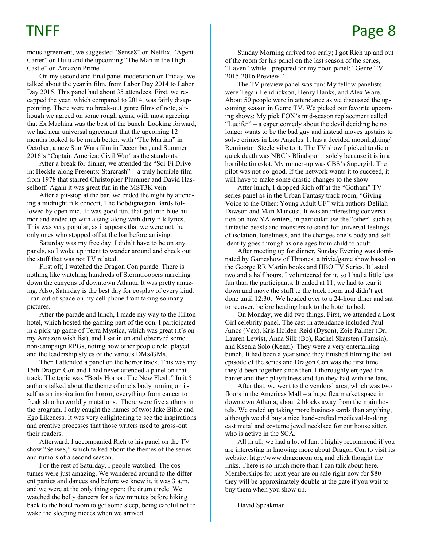mous agreement, we suggested "Sense8" on Netflix, "Agent Carter" on Hulu and the upcoming "The Man in the High Castle" on Amazon Prime.

On my second and final panel moderation on Friday, we talked about the year in film, from Labor Day 2014 to Labor Day 2015. This panel had about 35 attendees. First, we recapped the year, which compared to 2014, was fairly disappointing. There were no break-out genre films of note, although we agreed on some rough gems, with most agreeing that Ex Machina was the best of the bunch. Looking forward, we had near universal agreement that the upcoming 12 months looked to be much better, with "The Martian" in October, a new Star Wars film in December, and Summer 2016's "Captain America: Civil War" as the standouts.

After a break for dinner, we attended the "Sci-Fi Drivein: Heckle-along Presents: Starcrash" – a truly horrible film from 1978 that starred Christopher Plummer and David Hasselhoff. Again it was great fun in the MST3K vein.

After a pit-stop at the bar, we ended the night by attending a midnight filk concert, The Bobdignagian Bards followed by open mic. It was good fun, that got into blue humor and ended up with a sing-along with dirty filk lyrics. This was very popular, as it appears that we were not the only ones who stopped off at the bar before arriving.

Saturday was my free day. I didn't have to be on any panels, so I woke up intent to wander around and check out the stuff that was not TV related.

First off, I watched the Dragon Con parade. There is nothing like watching hundreds of Stormtroopers marching down the canyons of downtown Atlanta. It was pretty amazing. Also, Saturday is the best day for cosplay of every kind. I ran out of space on my cell phone from taking so many pictures.

After the parade and lunch, I made my way to the Hilton hotel, which hosted the gaming part of the con. I participated in a pick-up game of Terra Mystica, which was great (it's on my Amazon wish list), and I sat in on and observed some non-campaign RPGs, noting how other people role played and the leadership styles of the various DMs/GMs.

Then I attended a panel on the horror track. This was my 15th Dragon Con and I had never attended a panel on that track. The topic was "Body Horror: The New Flesh." In it 5 authors talked about the theme of one's body turning on itself as an inspiration for horror, everything from cancer to freakish otherworldly mutations. There were five authors in the program. I only caught the names of two: Jake Bible and Ego Likeness. It was very enlightening to see the inspirations and creative processes that those writers used to gross-out their readers.

Afterward, I accompanied Rich to his panel on the TV show "Sense8," which talked about the themes of the series and rumors of a second season.

For the rest of Saturday, I people watched. The costumes were just amazing. We wandered around to the different parties and dances and before we knew it, it was 3 a.m. and we were at the only thing open: the drum circle. We watched the belly dancers for a few minutes before hiking back to the hotel room to get some sleep, being careful not to wake the sleeping nieces when we arrived.

Sunday Morning arrived too early; I got Rich up and out of the room for his panel on the last season of the series, "Haven" while I prepared for my noon panel: "Genre TV 2015-2016 Preview."

The TV preview panel was fun: My fellow panelists were Tegan Hendrickson, Henry Hanks, and Alex Ware. About 50 people were in attendance as we discussed the upcoming season in Genre TV. We picked our favorite upcoming shows: My pick FOX's mid-season replacement called "Lucifer" – a caper comedy about the devil deciding he no longer wants to be the bad guy and instead moves upstairs to solve crimes in Los Angeles. It has a decided moonlighting/ Remington Steele vibe to it. The TV show I picked to die a quick death was NBC's Blindspot – solely because it is in a horrible timeslot. My runner-up was CBS's Supergirl. The pilot was not-so-good. If the network wants it to succeed, it will have to make some drastic changes to the show.

After lunch, I dropped Rich off at the "Gotham" TV series panel as in the Urban Fantasy track room, "Giving Voice to the Other: Young Adult UF" with authors Delilah Dawson and Mari Mancusi. It was an interesting conversation on how YA writers, in particular use the "other" such as fantastic beasts and monsters to stand for universal feelings of isolation, loneliness, and the changes one's body and selfidentity goes through as one ages from child to adult.

After meeting up for dinner, Sunday Evening was dominated by Gameshow of Thrones, a trivia/game show based on the George RR Martin books and HBO TV Series. It lasted two and a half hours. I volunteered for it, so I had a little less fun than the participants. It ended at 11; we had to tear it down and move the stuff to the track room and didn't get done until 12:30. We headed over to a 24-hour diner and sat to recover, before heading back to the hotel to bed.

On Monday, we did two things. First, we attended a Lost Girl celebrity panel. The cast in attendance included Paul Amos (Vex), Kris Holden-Reid (Dyson), Zoie Palmer (Dr. Lauren Lewis), Anna Silk (Bo), Rachel Skarsten (Tamsin), and Ksenia Solo (Kenzi). They were a very entertaining bunch. It had been a year since they finished filming the last episode of the series and Dragon Con was the first time they'd been together since then. I thoroughly enjoyed the banter and their playfulness and fun they had with the fans.

After that, we went to the vendors' area, which was two floors in the Americas Mall – a huge flea market space in downtown Atlanta, about 2 blocks away from the main hotels. We ended up taking more business cards than anything, although we did buy a nice hand-crafted medieval-looking cast metal and costume jewel necklace for our house sitter, who is active in the SCA.

All in all, we had a lot of fun. I highly recommend if you are interesting in knowing more about Dragon Con to visit its website: http://www.dragoncon.org and click thought the links. There is so much more than I can talk about here. Memberships for next year are on sale right now for \$80 – they will be approximately double at the gate if you wait to buy them when you show up.

David Speakman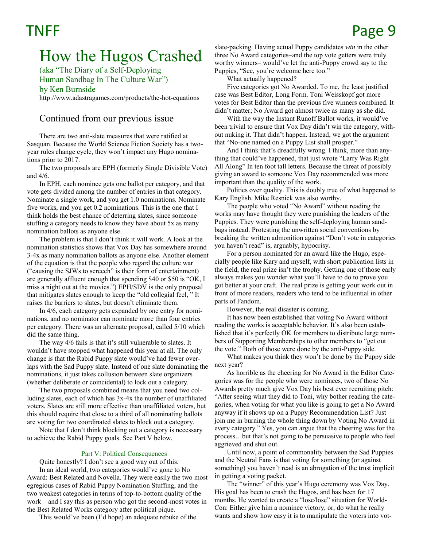# How the Hugos Crashed

(aka "The Diary of a Self-Deploying Human Sandbag In The Culture War")

by Ken Burnside

[http://www.adastragames.com/products/the](http://www.adastragames.com/products/the-hot-equations)-hot-equations

### Continued from our previous issue

There are two anti-slate measures that were ratified at Sasquan. Because the World Science Fiction Society has a twoyear rules change cycle, they won't impact any Hugo nominations prior to 2017.

The two proposals are EPH (formerly Single Divisible Vote) and 4/6.

In EPH, each nominee gets one ballot per category, and that vote gets divided among the number of entries in that category. Nominate a single work, and you get 1.0 nominations. Nominate five works, and you get 0.2 nominations. This is the one that I think holds the best chance of deterring slates, since someone stuffing a category needs to know they have about 5x as many nomination ballots as anyone else.

The problem is that I don't think it will work. A look at the nomination statistics shows that Vox Day has somewhere around 3-4x as many nomination ballots as anyone else. Another element of the equation is that the people who regard the culture war ("causing the SJWs to screech" is their form of entertainment) are generally affluent enough that spending \$40 or \$50 is "OK, I miss a night out at the movies.") EPH/SDV is the only proposal that mitigates slates enough to keep the "old collegial feel, " It raises the barriers to slates, but doesn't eliminate them.

In 4/6, each category gets expanded by one entry for nominations, and no nominator can nominate more than four entries per category. There was an alternate proposal, called 5/10 which did the same thing.

The way 4/6 fails is that it's still vulnerable to slates. It wouldn't have stopped what happened this year at all. The only change is that the Rabid Puppy slate would've had fewer overlaps with the Sad Puppy slate. Instead of one slate dominating the nominations, it just takes collusion between slate organizers (whether deliberate or coincidental) to lock out a category.

The two proposals combined means that you need two colluding slates, each of which has 3x-4x the number of unaffiliated voters. Slates are still more effective than unaffiliated voters, but this should require that close to a third of all nominating ballots are voting for two coordinated slates to block out a category.

Note that I don't think blocking out a category is necessary to achieve the Rabid Puppy goals. See Part V below.

### Part V: Political Consequences

Quite honestly? I don't see a good way out of this.

In an ideal world, two categories would've gone to No Award: Best Related and Novella. They were easily the two most egregious cases of Rabid Puppy Nomination Stuffing, and the two weakest categories in terms of top-to-bottom quality of the work – and I say this as person who got the second-most votes in the Best Related Works category after political pique.

This would've been (I'd hope) an adequate rebuke of the

slate-packing. Having actual Puppy candidates *win* in the other three No Award categories–and the top vote getters were truly worthy winners– would've let the anti-Puppy crowd say to the Puppies, "See, you're welcome here too."

What actually happened?

Five categories got No Awarded. To me, the least justified case was Best Editor, Long Form. Toni Weisskopf got more votes for Best Editor than the previous five winners combined. It didn't matter; No Award got almost twice as many as she did.

With the way the Instant Runoff Ballot works, it would've been trivial to ensure that Vox Day didn't win the category, without nuking it. That didn't happen. Instead, we got the argument that "No-one named on a Puppy List shall prosper."

And I think that's dreadfully wrong. I think, more than anything that could've happened, that just wrote "Larry Was Right All Along" In ten foot tall letters. Because the threat of possibly giving an award to someone Vox Day recommended was more important than the quality of the work.

Politics over quality. This is doubly true of what happened to Kary English. Mike Resnick was also worthy.

The people who voted "No Award" without reading the works may have thought they were punishing the leaders of the Puppies. They were punishing the self-deploying human sandbags instead. Protesting the unwritten social conventions by breaking the written admonition against "Don't vote in categories you haven't read" is, arguably, hypocrisy.

For a person nominated for an award like the Hugo, especially people like Kary and myself, with short publication lists in the field, the real prize isn't the trophy. Getting one of those early always makes you wonder what you'll have to do to prove you got better at your craft. The real prize is getting your work out in front of more readers, readers who tend to be influential in other parts of Fandom.

However, the real disaster is coming.

It has now been established that voting No Award without reading the works is acceptable behavior. It's also been established that it's perfectly OK for members to distribute large numbers of Supporting Memberships to other members to "get out the vote." Both of those were done by the anti-Puppy side.

What makes you think they won't be done by the Puppy side next year?

As horrible as the cheering for No Award in the Editor Categories was for the people who were nominees, two of those No Awards pretty much give Vox Day his best ever recruiting pitch: "After seeing what they did to Toni, why bother reading the categories, when voting for what you like is going to get a No Award anyway if it shows up on a Puppy Recommendation List? Just join me in burning the whole thing down by Voting No Award in every category." Yes, you can argue that the cheering was for the process…but that's not going to be persuasive to people who feel aggrieved and shut out.

Until now, a point of commonality between the Sad Puppies and the Neutral Fans is that voting for something (or against something) you haven't read is an abrogation of the trust implicit in getting a voting packet.

The "winner" of this year's Hugo ceremony was Vox Day. His goal has been to crash the Hugos, and has been for 17 months. He wanted to create a "lose/lose" situation for World-Con: Either give him a nominee victory, or, do what he really wants and show how easy it is to manipulate the voters into vot-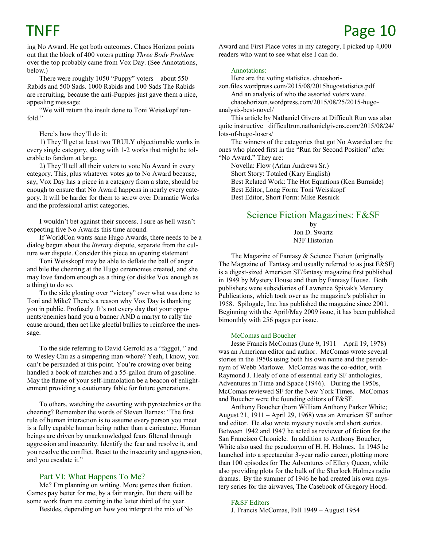ing No Award. He got both outcomes. Chaos Horizon points out that the block of 400 voters putting *Three Body Problem*  over the top probably came from Vox Day. (See Annotations, below.)

There were roughly 1050 "Puppy" voters – about 550 Rabids and 500 Sads. 1000 Rabids and 100 Sads The Rabids are recruiting, because the anti-Puppies just gave them a nice, appealing message:

"We will return the insult done to Toni Weisskopf tenfold."

Here's how they'll do it:

1) They'll get at least two TRULY objectionable works in every single category, along with 1-2 works that might be tolerable to fandom at large.

2) They'll tell all their voters to vote No Award in every category. This, plus whatever votes go to No Award because, say, Vox Day has a piece in a category from a slate, should be enough to ensure that No Award happens in nearly every category. It will be harder for them to screw over Dramatic Works and the professional artist categories.

I wouldn't bet against their success. I sure as hell wasn't expecting five No Awards this time around.

If WorldCon wants sane Hugo Awards, there needs to be a dialog begun about the *literary* dispute, separate from the culture war dispute. Consider this piece an opening statement

Toni Weisskopf may be able to deflate the ball of anger and bile the cheering at the Hugo ceremonies created, and she may love fandom enough as a thing (or dislike Vox enough as a thing) to do so.

To the side gloating over "victory" over what was done to Toni and Mike? There's a reason why Vox Day is thanking you in public. Profusely. It's not every day that your opponents/enemies hand you a banner AND a martyr to rally the cause around, then act like gleeful bullies to reinforce the message.

To the side referring to David Gerrold as a "faggot, " and to Wesley Chu as a simpering man-whore? Yeah, I know, you can't be persuaded at this point. You're crowing over being handled a book of matches and a 55-gallon drum of gasoline. May the flame of your self-immolation be a beacon of enlightenment providing a cautionary fable for future generations.

To others, watching the cavorting with pyrotechnics or the cheering? Remember the words of Steven Barnes: "The first rule of human interaction is to assume every person you meet is a fully capable human being rather than a caricature. Human beings are driven by unacknowledged fears filtered through aggression and insecurity. Identify the fear and resolve it, and you resolve the conflict. React to the insecurity and aggression, and you escalate it."

### Part VI: What Happens To Me?

Me? I'm planning on writing. More games than fiction. Games pay better for me, by a fair margin. But there will be some work from me coming in the latter third of the year.

Besides, depending on how you interpret the mix of No

Award and First Place votes in my category, I picked up 4,000 readers who want to see what else I can do.

### Annotations:

Here are the voting statistics. chaoshori-

zon.files.wordpress.com/2015/08/2015hugostatistics.pdf And an analysis of who the assorted voters were. chaoshorizon.wordpress.com/2015/08/25/2015-hugo-

analysis-best-novel/

This article by Nathaniel Givens at Difficult Run was also quite instructive difficultrun.nathanielgivens.com/2015/08/24/ lots-of-hugo-losers/

The winners of the categories that got No Awarded are the ones who placed first in the "Run for Second Position" after "No Award." They are:

Novella: Flow (Arlan Andrews Sr.) Short Story: Totaled (Kary English) Best Related Work: The Hot Equations (Ken Burnside) Best Editor, Long Form: Toni Weisskopf Best Editor, Short Form: Mike Resnick

### Science Fiction Magazines: F&SF

by Jon D. Swartz N3F Historian

The Magazine of Fantasy & Science Fiction (originally The Magazine of Fantasy and usually referred to as just F&SF) is a digest-sized American SF/fantasy magazine first published in 1949 by Mystery House and then by Fantasy House. Both publishers were subsidiaries of Lawrence Spivak's Mercury Publications, which took over as the magazine's publisher in 1958. Spilogale, Inc. has published the magazine since 2001. Beginning with the April/May 2009 issue, it has been published bimonthly with 256 pages per issue.

### McComas and Boucher

Jesse Francis McComas (June 9, 1911 – April 19, 1978) was an American editor and author. McComas wrote several stories in the 1950s using both his own name and the pseudonym of Webb Marlowe. McComas was the co-editor, with Raymond J. Healy of one of essential early SF anthologies, Adventures in Time and Space (1946). During the 1950s, McComas reviewed SF for the New York Times. McComas and Boucher were the founding editors of F&SF.

Anthony Boucher (born William Anthony Parker White; August 21, 1911 – April 29, 1968) was an American SF author and editor. He also wrote mystery novels and short stories. Between 1942 and 1947 he acted as reviewer of fiction for the San Francisco Chronicle. In addition to Anthony Boucher, White also used the pseudonym of H. H. Holmes. In 1945 he launched into a spectacular 3-year radio career, plotting more than 100 episodes for The Adventures of Ellery Queen, while also providing plots for the bulk of the Sherlock Holmes radio dramas. By the summer of 1946 he had created his own mystery series for the airwaves, The Casebook of Gregory Hood.

### F&SF Editors

J. Francis McComas, Fall 1949 – August 1954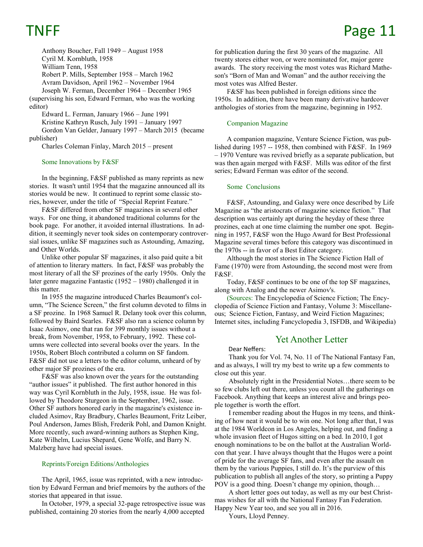Anthony Boucher, Fall 1949 – August 1958 Cyril M. Kornbluth, 1958 William Tenn, 1958 Robert P. Mills, September 1958 – March 1962 Avram Davidson, April 1962 – November 1964 Joseph W. Ferman, December 1964 – December 1965 (supervising his son, Edward Ferman, who was the working editor) Edward L. Ferman, January 1966 – June 1991

Kristine Kathryn Rusch, July 1991 – January 1997 Gordon Van Gelder, January 1997 – March 2015 (became publisher)

Charles Coleman Finlay, March 2015 – present

### Some Innovations by F&SF

In the beginning, F&SF published as many reprints as new stories. It wasn't until 1954 that the magazine announced all its stories would be new. It continued to reprint some classic stories, however, under the title of "Special Reprint Feature."

F&SF differed from other SF magazines in several other ways. For one thing, it abandoned traditional columns for the book page. For another, it avoided internal illustrations. In addition, it seemingly never took sides on contemporary controversial issues, unlike SF magazines such as Astounding, Amazing, and Other Worlds.

Unlike other popular SF magazines, it also paid quite a bit of attention to literary matters. In fact, F&SF was probably the most literary of all the SF prozines of the early 1950s. Only the later genre magazine Fantastic (1952 – 1980) challenged it in this matter.

In 1955 the magazine introduced Charles Beaumont's column, "The Science Screen," the first column devoted to films in a SF prozine. In 1968 Samuel R. Delany took over this column, followed by Baird Searles. F&SF also ran a science column by Isaac Asimov, one that ran for 399 monthly issues without a break, from November, 1958, to February, 1992. These columns were collected into several books over the years. In the 1950s, Robert Bloch contributed a column on SF fandom. F&SF did not use a letters to the editor column, unheard of by other major SF prozines of the era.

F&SF was also known over the years for the outstanding "author issues" it published. The first author honored in this way was Cyril Kornbluth in the July, 1958, issue. He was followed by Theodore Sturgeon in the September, 1962, issue. Other SF authors honored early in the magazine's existence included Asimov, Ray Bradbury, Charles Beaumont, Fritz Leiber, Poul Anderson, James Blish, Frederik Pohl, and Damon Knight. More recently, such award-winning authors as Stephen King, Kate Wilhelm, Lucius Shepard, Gene Wolfe, and Barry N. Malzberg have had special issues.

### Reprints/Foreign Editions/Anthologies

The April, 1965, issue was reprinted, with a new introduction by Edward Ferman and brief memoirs by the authors of the stories that appeared in that issue.

In October, 1979, a special 32-page retrospective issue was published, containing 20 stories from the nearly 4,000 accepted

# TNFF Page 11

for publication during the first 30 years of the magazine. All twenty stores either won, or were nominated for, major genre awards. The story receiving the most votes was Richard Matheson's "Born of Man and Woman" and the author receiving the most votes was Alfred Bester.

F&SF has been published in foreign editions since the 1950s. In addition, there have been many derivative hardcover anthologies of stories from the magazine, beginning in 1952.

### Companion Magazine

A companion magazine, Venture Science Fiction, was published during 1957 -- 1958, then combined with F&SF. In 1969 – 1970 Venture was revived briefly as a separate publication, but was then again merged with F&SF. Mills was editor of the first series; Edward Ferman was editor of the second.

### Some Conclusions

F&SF, Astounding, and Galaxy were once described by Life Magazine as "the aristocrats of magazine science fiction." That description was certainly apt during the heyday of these three prozines, each at one time claiming the number one spot. Beginning in 1957, F&SF won the Hugo Award for Best Professional Magazine several times before this category was discontinued in the 1970s -- in favor of a Best Editor category.

Although the most stories in The Science Fiction Hall of Fame (1970) were from Astounding, the second most were from F&SF.

Today, F&SF continues to be one of the top SF magazines, along with Analog and the newer Asimov's.

(Sources: The Encyclopedia of Science Fiction; The Encyclopedia of Science Fiction and Fantasy, Volume 3: Miscellaneous; Science Fiction, Fantasy, and Weird Fiction Magazines; Internet sites, including Fancyclopedia 3, ISFDB, and Wikipedia)

### Yet Another Letter

### Dear Neffers:

Thank you for Vol. 74, No. 11 of The National Fantasy Fan, and as always, I will try my best to write up a few comments to close out this year.

Absolutely right in the Presidential Notes…there seem to be so few clubs left out there, unless you count all the gatherings on Facebook. Anything that keeps an interest alive and brings people together is worth the effort.

I remember reading about the Hugos in my teens, and thinking of how neat it would be to win one. Not long after that, I was at the 1984 Worldcon in Los Angeles, helping out, and finding a whole invasion fleet of Hugos sitting on a bed. In 2010, I got enough nominations to be on the ballot at the Australian Worldcon that year. I have always thought that the Hugos were a point of pride for the average SF fans, and even after the assault on them by the various Puppies, I still do. It's the purview of this publication to publish all angles of the story, so printing a Puppy POV is a good thing. Doesn't change my opinion, though…

A short letter goes out today, as well as my our best Christmas wishes for all with the National Fantasy Fan Federation. Happy New Year too, and see you all in 2016.

Yours, Lloyd Penney.